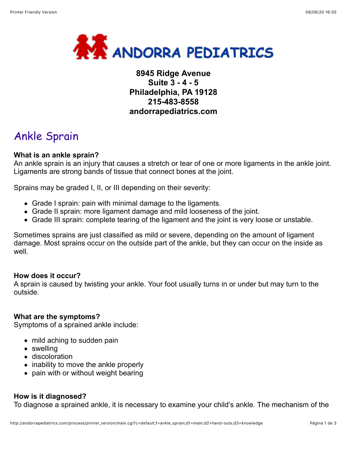

# **8945 Ridge Avenue Suite 3 - 4 - 5 Philadelphia, PA 19128 215-483-8558 andorrapediatrics.com**

# Ankle Sprain

#### **What is an ankle sprain?**

An ankle sprain is an injury that causes a stretch or tear of one or more ligaments in the ankle joint. Ligaments are strong bands of tissue that connect bones at the joint.

Sprains may be graded I, II, or III depending on their severity:

- Grade I sprain: pain with minimal damage to the ligaments.
- Grade II sprain: more ligament damage and mild looseness of the joint.
- Grade III sprain: complete tearing of the ligament and the joint is very loose or unstable.

Sometimes sprains are just classified as mild or severe, depending on the amount of ligament damage. Most sprains occur on the outside part of the ankle, but they can occur on the inside as well.

#### **How does it occur?**

A sprain is caused by twisting your ankle. Your foot usually turns in or under but may turn to the outside.

#### **What are the symptoms?**

Symptoms of a sprained ankle include:

- mild aching to sudden pain
- swelling
- discoloration
- inability to move the ankle properly
- pain with or without weight bearing

## **How is it diagnosed?**

To diagnose a sprained ankle, it is necessary to examine your child's ankle. The mechanism of the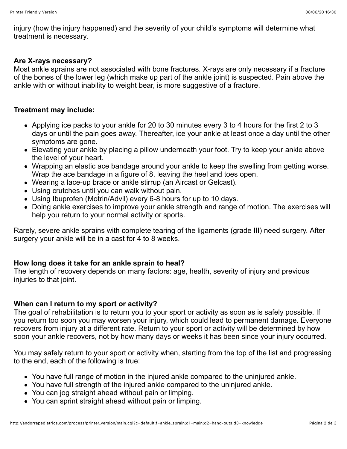injury (how the injury happened) and the severity of your child's symptoms will determine what treatment is necessary.

#### **Are X-rays necessary?**

Most ankle sprains are not associated with bone fractures. X-rays are only necessary if a fracture of the bones of the lower leg (which make up part of the ankle joint) is suspected. Pain above the ankle with or without inability to weight bear, is more suggestive of a fracture.

#### **Treatment may include:**

- Applying ice packs to your ankle for 20 to 30 minutes every 3 to 4 hours for the first 2 to 3 days or until the pain goes away. Thereafter, ice your ankle at least once a day until the other symptoms are gone.
- Elevating your ankle by placing a pillow underneath your foot. Try to keep your ankle above the level of your heart.
- Wrapping an elastic ace bandage around your ankle to keep the swelling from getting worse. Wrap the ace bandage in a figure of 8, leaving the heel and toes open.
- Wearing a lace-up brace or ankle stirrup (an Aircast or Gelcast).
- Using crutches until you can walk without pain.
- Using Ibuprofen (Motrin/Advil) every 6-8 hours for up to 10 days.
- Doing ankle exercises to improve your ankle strength and range of motion. The exercises will help you return to your normal activity or sports.

Rarely, severe ankle sprains with complete tearing of the ligaments (grade III) need surgery. After surgery your ankle will be in a cast for 4 to 8 weeks.

## **How long does it take for an ankle sprain to heal?**

The length of recovery depends on many factors: age, health, severity of injury and previous injuries to that joint.

## **When can I return to my sport or activity?**

The goal of rehabilitation is to return you to your sport or activity as soon as is safely possible. If you return too soon you may worsen your injury, which could lead to permanent damage. Everyone recovers from injury at a different rate. Return to your sport or activity will be determined by how soon your ankle recovers, not by how many days or weeks it has been since your injury occurred.

You may safely return to your sport or activity when, starting from the top of the list and progressing to the end, each of the following is true:

- You have full range of motion in the injured ankle compared to the uninjured ankle.
- You have full strength of the injured ankle compared to the uninjured ankle.
- You can jog straight ahead without pain or limping.
- You can sprint straight ahead without pain or limping.